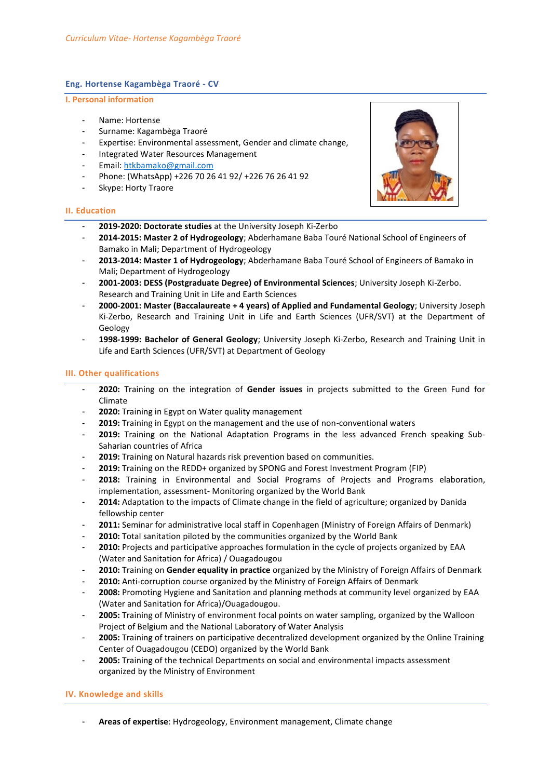## **Eng. Hortense Kagambèga Traoré - CV**

- **I. Personal information**
	- Name: Hortense
	- Surname: Kagambèga Traoré
	- Expertise: Environmental assessment, Gender and climate change,
	- Integrated Water Resources Management
	- Email: [htkbamako@gmail.com](mailto:htkbamako@gmail.com)
	- Phone: (WhatsApp) +226 70 26 41 92/ +226 76 26 41 92
	- Skype: Horty Traore

#### **II. Education**

- **2019-2020: Doctorate studies** at the University Joseph Ki-Zerbo
- **2014-2015: Master 2 of Hydrogeology**; Abderhamane Baba Touré National School of Engineers of Bamako in Mali; Department of Hydrogeology
- **2013-2014: Master 1 of Hydrogeology**; Abderhamane Baba Touré School of Engineers of Bamako in Mali; Department of Hydrogeology
- **2001-2003: DESS (Postgraduate Degree) of Environmental Sciences**; University Joseph Ki-Zerbo. Research and Training Unit in Life and Earth Sciences
- **2000-2001: Master (Baccalaureate + 4 years) of Applied and Fundamental Geology**; University Joseph Ki-Zerbo, Research and Training Unit in Life and Earth Sciences (UFR/SVT) at the Department of Geology
- **1998-1999: Bachelor of General Geology**; University Joseph Ki-Zerbo, Research and Training Unit in Life and Earth Sciences (UFR/SVT) at Department of Geology

### **III. Other qualifications**

- **2020:** Training on the integration of **Gender issues** in projects submitted to the Green Fund for Climate
- **2020:** Training in Egypt on Water quality management
- **2019:** Training in Egypt on the management and the use of non-conventional waters
- **2019:** Training on the National Adaptation Programs in the less advanced French speaking Sub-Saharian countries of Africa
- 2019: Training on Natural hazards risk prevention based on communities.
- **2019:** Training on the REDD+ organized by SPONG and Forest Investment Program (FIP)
- **2018:** Training in Environmental and Social Programs of Projects and Programs elaboration, implementation, assessment- Monitoring organized by the World Bank
- 2014: Adaptation to the impacts of Climate change in the field of agriculture; organized by Danida fellowship center
- **2011:** Seminar for administrative local staff in Copenhagen (Ministry of Foreign Affairs of Denmark)
- 2010: Total sanitation piloted by the communities organized by the World Bank
- **2010:** Projects and participative approaches formulation in the cycle of projects organized by EAA (Water and Sanitation for Africa) / Ouagadougou
- **2010:** Training on **Gender equality in practice** organized by the Ministry of Foreign Affairs of Denmark
- 2010: Anti-corruption course organized by the Ministry of Foreign Affairs of Denmark
- **2008:** Promoting Hygiene and Sanitation and planning methods at community level organized by EAA (Water and Sanitation for Africa)/Ouagadougou.
- **2005:** Training of Ministry of environment focal points on water sampling, organized by the Walloon Project of Belgium and the National Laboratory of Water Analysis
- **2005:** Training of trainers on participative decentralized development organized by the Online Training Center of Ouagadougou (CEDO) organized by the World Bank
- **2005:** Training of the technical Departments on social and environmental impacts assessment organized by the Ministry of Environment

#### **IV. Knowledge and skills**

- **Areas of expertise**: Hydrogeology, Environment management, Climate change

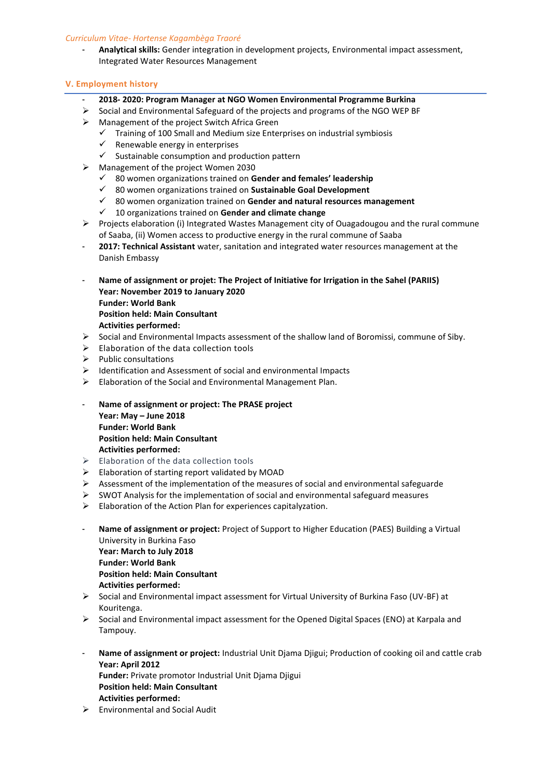## *Curriculum Vitae- Hortense Kagambèga Traoré*

- **Analytical skills:** Gender integration in development projects, Environmental impact assessment, Integrated Water Resources Management

# **V. Employment history**

- **2018- 2020: Program Manager at NGO Women Environmental Programme Burkina**
- $\triangleright$  Social and Environmental Safeguard of the projects and programs of the NGO WEP BF
- Management of the project Switch Africa Green
	- $\checkmark$  Training of 100 Small and Medium size Enterprises on industrial symbiosis  $\checkmark$  Renewable energy in enterprises
	- Renewable energy in enterprises
	- $\checkmark$  Sustainable consumption and production pattern
- Management of the project Women 2030
	- 80 women organizations trained on **Gender and females' leadership**
	- 80 women organizations trained on **Sustainable Goal Development**
	- 80 women organization trained on **Gender and natural resources management**
	- 10 organizations trained on **Gender and climate change**
- Projects elaboration (i) Integrated Wastes Management city of Ouagadougou and the rural commune of Saaba, (ii) Women access to productive energy in the rural commune of Saaba
- **2017: Technical Assistant** water, sanitation and integrated water resources management at the Danish Embassy
- **Name of assignment or projet: The Project of Initiative for Irrigation in the Sahel (PARIIS) Year: November 2019 to January 2020 Funder: World Bank Position held: Main Consultant Activities performed:**
- Social and Environmental Impacts assessment of the shallow land of Boromissi, commune of Siby.
- $\triangleright$  Elaboration of the data collection tools
- $\triangleright$  Public consultations
- $\triangleright$  Identification and Assessment of social and environmental Impacts
- Elaboration of the Social and Environmental Management Plan.
- **Name of assignment or project: The PRASE project Year: May – June 2018 Funder: World Bank Position held: Main Consultant Activities performed:**
- Elaboration of the data collection tools
- $\triangleright$  Elaboration of starting report validated by MOAD
- $\triangleright$  Assessment of the implementation of the measures of social and environmental safeguarde
- $\triangleright$  SWOT Analysis for the implementation of social and environmental safeguard measures
- $\triangleright$  Elaboration of the Action Plan for experiences capitalyzation.
- **Name of assignment or project:** Project of Support to Higher Education (PAES) Building a Virtual University in Burkina Faso **Year: March to July 2018 Funder: World Bank Position held: Main Consultant Activities performed:**
- Social and Environmental impact assessment for Virtual University of Burkina Faso (UV-BF) at Kouritenga.
- $\triangleright$  Social and Environmental impact assessment for the Opened Digital Spaces (ENO) at Karpala and Tampouy.
- **Name of assignment or project:** Industrial Unit Djama Djigui; Production of cooking oil and cattle crab **Year: April 2012 Funder:** Private promotor Industrial Unit Djama Djigui **Position held: Main Consultant Activities performed:**
- $\triangleright$  Environmental and Social Audit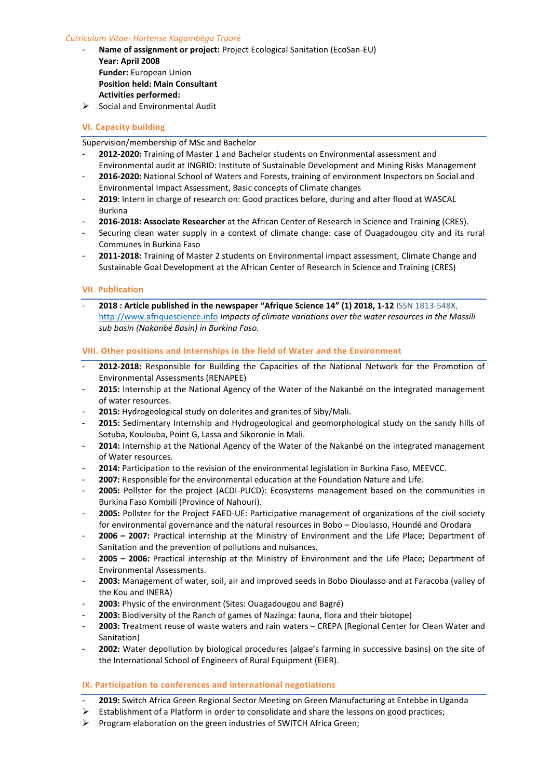### *Curriculum Vitae- Hortense Kagambèga Traoré*

- **Name of assignment or project: Project Ecological Sanitation (EcoSan-EU) Year: April 2008 Funder:** European Union **Position held: Main Consultant Activities performed:**
- $\triangleright$  Social and Environmental Audit

# **VI. Capacity building**

Supervision/membership of MSc and Bachelor

- **2012-2020:** Training of Master 1 and Bachelor students on Environmental assessment and Environmental audit at INGRID: Institute of Sustainable Development and Mining Risks Management
- **2016-2020:** National School of Waters and Forests, training of environment Inspectors on Social and Environmental Impact Assessment, Basic concepts of Climate changes
- **2019**: Intern in charge of research on: Good practices before, during and after flood at WASCAL Burkina
- **2016-2018: Associate Researcher** at the African Center of Research in Science and Training (CRES).
- Securing clean water supply in a context of climate change: case of Ouagadougou city and its rural Communes in Burkina Faso
- **2011-2018:** Training of Master 2 students on Environmental impact assessment, Climate Change and Sustainable Goal Development at the African Center of Research in Science and Training (CRES)

## **VII. Publication**

- **2018 : Article published in the newspaper "Afrique Science 14" (1) 2018, 1-12** ISSN 1813-548X, [http://www.afriquescience.info](http://www.afriquescience.info/) *Impacts of climate variations over the water resources in the Massili sub basin (Nakanbé Basin) in Burkina Faso.* 

## **VIII. Other positions and Internships in the field of Water and the Environment**

- **2012-2018:** Responsible for Building the Capacities of the National Network for the Promotion of Environmental Assessments (RENAPEE)
- **2015:** Internship at the National Agency of the Water of the Nakanbé on the integrated management of water resources.
- 2015: Hydrogeological study on dolerites and granites of Siby/Mali.
- **2015:** Sedimentary Internship and Hydrogeological and geomorphological study on the sandy hills of Sotuba, Koulouba, Point G, Lassa and Sikoronie in Mali.
- **2014:** Internship at the National Agency of the Water of the Nakanbé on the integrated management of Water resources.
- **2014:** Participation to the revision of the environmental legislation in Burkina Faso, MEEVCC.
- 2007: Responsible for the environmental education at the Foundation Nature and Life.
- 2005: Pollster for the project (ACDI-PUCD): Ecosystems management based on the communities in Burkina Faso Kombili (Province of Nahouri).
- **2005:** Pollster for the Project FAED-UE: Participative management of organizations of the civil society for environmental governance and the natural resources in Bobo – Dioulasso, Houndé and Orodara
- **2006 – 2007:** Practical internship at the Ministry of Environment and the Life Place; Department of Sanitation and the prevention of pollutions and nuisances.
- **2005 – 2006:** Practical internship at the Ministry of Environment and the Life Place; Department of Environmental Assessments.
- **2003:** Management of water, soil, air and improved seeds in Bobo Dioulasso and at Faracoba (valley of the Kou and INERA)
- **2003:** Physic of the environment (Sites: Ouagadougou and Bagré)
- **2003:** Biodiversity of the Ranch of games of Nazinga: fauna, flora and their biotope)
- **2003:** Treatment reuse of waste waters and rain waters CREPA (Regional Center for Clean Water and Sanitation)
- 2002: Water depollution by biological procedures (algae's farming in successive basins) on the site of the International School of Engineers of Rural Equipment (EIER).

# **IX. Participation to conferences and international negotiations**

- **2019:** Switch Africa Green Regional Sector Meeting on Green Manufacturing at Entebbe in Uganda
- $\triangleright$  Establishment of a Platform in order to consolidate and share the lessons on good practices;
- $\triangleright$  Program elaboration on the green industries of SWITCH Africa Green;